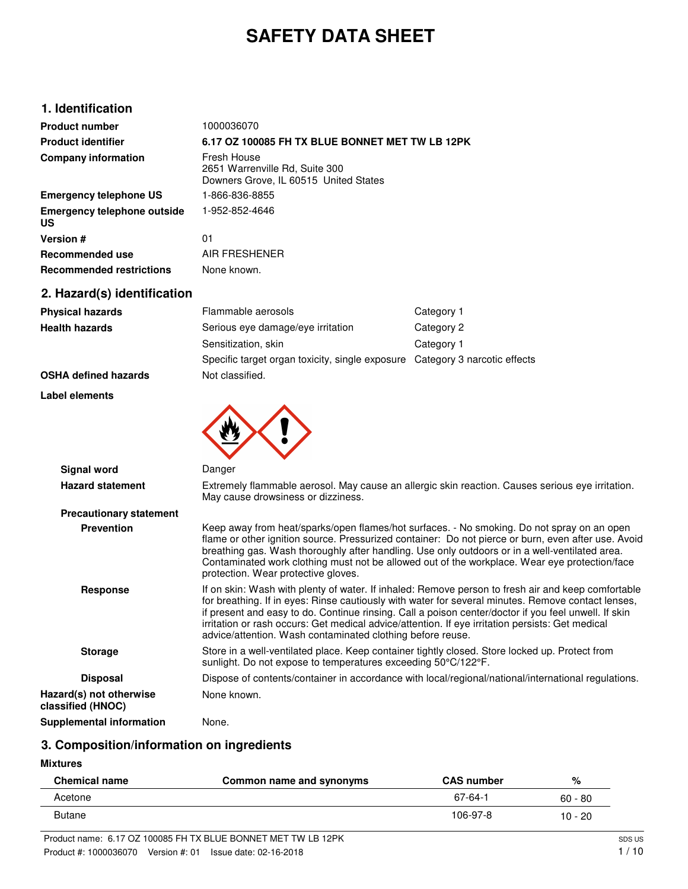# **SAFETY DATA SHEET**

## **1. Identification**

| <b>Product number</b>                           | 1000036070                                                                             |
|-------------------------------------------------|----------------------------------------------------------------------------------------|
| <b>Product identifier</b>                       | 6.17 OZ 100085 FH TX BLUE BONNET MET TW LB 12PK                                        |
| <b>Company information</b>                      | Fresh House<br>2651 Warrenville Rd, Suite 300<br>Downers Grove, IL 60515 United States |
| <b>Emergency telephone US</b>                   | 1-866-836-8855                                                                         |
| <b>Emergency telephone outside</b><br><b>US</b> | 1-952-852-4646                                                                         |
| <b>Version #</b>                                | 01                                                                                     |
| Recommended use                                 | AIR FRESHENER                                                                          |
| <b>Recommended restrictions</b>                 | None known.                                                                            |

# **2. Hazard(s) identification**

| <b>Physical hazards</b>                      | Flammable aerosols                                                                                                                                              | Category 1                                                                                                                                                                                                                                                                                                                                                                                           |  |
|----------------------------------------------|-----------------------------------------------------------------------------------------------------------------------------------------------------------------|------------------------------------------------------------------------------------------------------------------------------------------------------------------------------------------------------------------------------------------------------------------------------------------------------------------------------------------------------------------------------------------------------|--|
| <b>Health hazards</b>                        | Serious eye damage/eye irritation                                                                                                                               | Category 2                                                                                                                                                                                                                                                                                                                                                                                           |  |
|                                              | Sensitization, skin                                                                                                                                             | Category 1                                                                                                                                                                                                                                                                                                                                                                                           |  |
|                                              | Specific target organ toxicity, single exposure Category 3 narcotic effects                                                                                     |                                                                                                                                                                                                                                                                                                                                                                                                      |  |
| <b>OSHA defined hazards</b>                  | Not classified.                                                                                                                                                 |                                                                                                                                                                                                                                                                                                                                                                                                      |  |
| Label elements                               |                                                                                                                                                                 |                                                                                                                                                                                                                                                                                                                                                                                                      |  |
|                                              |                                                                                                                                                                 |                                                                                                                                                                                                                                                                                                                                                                                                      |  |
| <b>Signal word</b>                           | Danger                                                                                                                                                          |                                                                                                                                                                                                                                                                                                                                                                                                      |  |
| <b>Hazard statement</b>                      | Extremely flammable aerosol. May cause an allergic skin reaction. Causes serious eye irritation.<br>May cause drowsiness or dizziness.                          |                                                                                                                                                                                                                                                                                                                                                                                                      |  |
| <b>Precautionary statement</b>               |                                                                                                                                                                 |                                                                                                                                                                                                                                                                                                                                                                                                      |  |
| <b>Prevention</b>                            | protection. Wear protective gloves.                                                                                                                             | Keep away from heat/sparks/open flames/hot surfaces. - No smoking. Do not spray on an open<br>flame or other ignition source. Pressurized container: Do not pierce or burn, even after use. Avoid<br>breathing gas. Wash thoroughly after handling. Use only outdoors or in a well-ventilated area.<br>Contaminated work clothing must not be allowed out of the workplace. Wear eye protection/face |  |
| <b>Response</b>                              | irritation or rash occurs: Get medical advice/attention. If eye irritation persists: Get medical<br>advice/attention. Wash contaminated clothing before reuse.  | If on skin: Wash with plenty of water. If inhaled: Remove person to fresh air and keep comfortable<br>for breathing. If in eyes: Rinse cautiously with water for several minutes. Remove contact lenses,<br>if present and easy to do. Continue rinsing. Call a poison center/doctor if you feel unwell. If skin                                                                                     |  |
| <b>Storage</b>                               | Store in a well-ventilated place. Keep container tightly closed. Store locked up. Protect from<br>sunlight. Do not expose to temperatures exceeding 50°C/122°F. |                                                                                                                                                                                                                                                                                                                                                                                                      |  |
| <b>Disposal</b>                              |                                                                                                                                                                 | Dispose of contents/container in accordance with local/regional/national/international regulations.                                                                                                                                                                                                                                                                                                  |  |
| Hazard(s) not otherwise<br>classified (HNOC) | None known.                                                                                                                                                     |                                                                                                                                                                                                                                                                                                                                                                                                      |  |
| <b>Supplemental information</b>              | None.                                                                                                                                                           |                                                                                                                                                                                                                                                                                                                                                                                                      |  |

# **3. Composition/information on ingredients**

**Mixtures**

| <b>Chemical name</b> | Common name and synonyms | <b>CAS number</b> | %         |
|----------------------|--------------------------|-------------------|-----------|
| Acetone              |                          | 67-64-1           | $60 - 80$ |
| <b>Butane</b>        |                          | 106-97-8          | $10 - 20$ |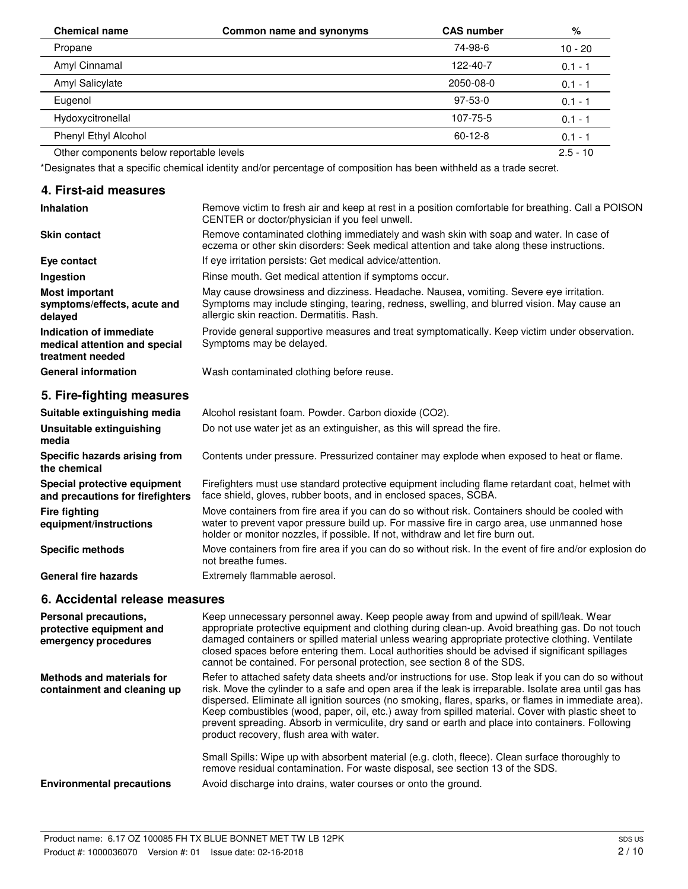| <b>Chemical name</b>                     | Common name and synonyms | <b>CAS number</b> | %          |
|------------------------------------------|--------------------------|-------------------|------------|
| Propane                                  |                          | 74-98-6           | $10 - 20$  |
| Amyl Cinnamal                            |                          | 122-40-7          | $0.1 - 1$  |
| Amyl Salicylate                          |                          | 2050-08-0         | $0.1 - 1$  |
| Eugenol                                  |                          | $97-53-0$         | $0.1 - 1$  |
| Hydoxycitronellal                        |                          | 107-75-5          | $0.1 - 1$  |
| Phenyl Ethyl Alcohol                     |                          | $60 - 12 - 8$     | $0.1 - 1$  |
| Other components below reportable levels |                          |                   | $2.5 - 10$ |

\*Designates that a specific chemical identity and/or percentage of composition has been withheld as a trade secret.

#### **4. First-aid measures**

| <b>Inhalation</b>                                                            | Remove victim to fresh air and keep at rest in a position comfortable for breathing. Call a POISON<br>CENTER or doctor/physician if you feel unwell.                                                                               |  |
|------------------------------------------------------------------------------|------------------------------------------------------------------------------------------------------------------------------------------------------------------------------------------------------------------------------------|--|
| <b>Skin contact</b>                                                          | Remove contaminated clothing immediately and wash skin with soap and water. In case of<br>eczema or other skin disorders: Seek medical attention and take along these instructions.                                                |  |
| Eye contact                                                                  | If eve irritation persists: Get medical advice/attention.                                                                                                                                                                          |  |
| Ingestion                                                                    | Rinse mouth. Get medical attention if symptoms occur.                                                                                                                                                                              |  |
| <b>Most important</b><br>symptoms/effects, acute and<br>delayed              | May cause drowsiness and dizziness. Headache. Nausea, vomiting. Severe eye irritation.<br>Symptoms may include stinging, tearing, redness, swelling, and blurred vision. May cause an<br>allergic skin reaction. Dermatitis. Rash. |  |
| Indication of immediate<br>medical attention and special<br>treatment needed | Provide general supportive measures and treat symptomatically. Keep victim under observation.<br>Symptoms may be delayed.                                                                                                          |  |
| <b>General information</b>                                                   | Wash contaminated clothing before reuse.                                                                                                                                                                                           |  |

# **5. Fire-fighting measures**

| Suitable extinguishing media                                     | Alcohol resistant foam. Powder. Carbon dioxide (CO2).                                                                                                                                                                                                                            |  |  |
|------------------------------------------------------------------|----------------------------------------------------------------------------------------------------------------------------------------------------------------------------------------------------------------------------------------------------------------------------------|--|--|
| Unsuitable extinguishing<br>media                                | Do not use water jet as an extinguisher, as this will spread the fire.                                                                                                                                                                                                           |  |  |
| Specific hazards arising from<br>the chemical                    | Contents under pressure. Pressurized container may explode when exposed to heat or flame.                                                                                                                                                                                        |  |  |
| Special protective equipment<br>and precautions for firefighters | Firefighters must use standard protective equipment including flame retardant coat, helmet with<br>face shield, gloves, rubber boots, and in enclosed spaces, SCBA.                                                                                                              |  |  |
| <b>Fire fighting</b><br>equipment/instructions                   | Move containers from fire area if you can do so without risk. Containers should be cooled with<br>water to prevent vapor pressure build up. For massive fire in cargo area, use unmanned hose<br>holder or monitor nozzles, if possible. If not, withdraw and let fire burn out. |  |  |
| <b>Specific methods</b>                                          | Move containers from fire area if you can do so without risk. In the event of fire and/or explosion do<br>not breathe fumes.                                                                                                                                                     |  |  |
| <b>General fire hazards</b>                                      | Extremely flammable aerosol.                                                                                                                                                                                                                                                     |  |  |

## **6. Accidental release measures**

| Personal precautions,<br>protective equipment and<br>emergency procedures | Keep unnecessary personnel away. Keep people away from and upwind of spill/leak. Wear<br>appropriate protective equipment and clothing during clean-up. Avoid breathing gas. Do not touch<br>damaged containers or spilled material unless wearing appropriate protective clothing. Ventilate<br>closed spaces before entering them. Local authorities should be advised if significant spillages<br>cannot be contained. For personal protection, see section 8 of the SDS.                                                                                                 |
|---------------------------------------------------------------------------|------------------------------------------------------------------------------------------------------------------------------------------------------------------------------------------------------------------------------------------------------------------------------------------------------------------------------------------------------------------------------------------------------------------------------------------------------------------------------------------------------------------------------------------------------------------------------|
| Methods and materials for<br>containment and cleaning up                  | Refer to attached safety data sheets and/or instructions for use. Stop leak if you can do so without<br>risk. Move the cylinder to a safe and open area if the leak is irreparable. Isolate area until gas has<br>dispersed. Eliminate all ignition sources (no smoking, flares, sparks, or flames in immediate area).<br>Keep combustibles (wood, paper, oil, etc.) away from spilled material. Cover with plastic sheet to<br>prevent spreading. Absorb in vermiculite, dry sand or earth and place into containers. Following<br>product recovery, flush area with water. |
| <b>Environmental precautions</b>                                          | Small Spills: Wipe up with absorbent material (e.g. cloth, fleece). Clean surface thoroughly to<br>remove residual contamination. For waste disposal, see section 13 of the SDS.<br>Avoid discharge into drains, water courses or onto the ground.                                                                                                                                                                                                                                                                                                                           |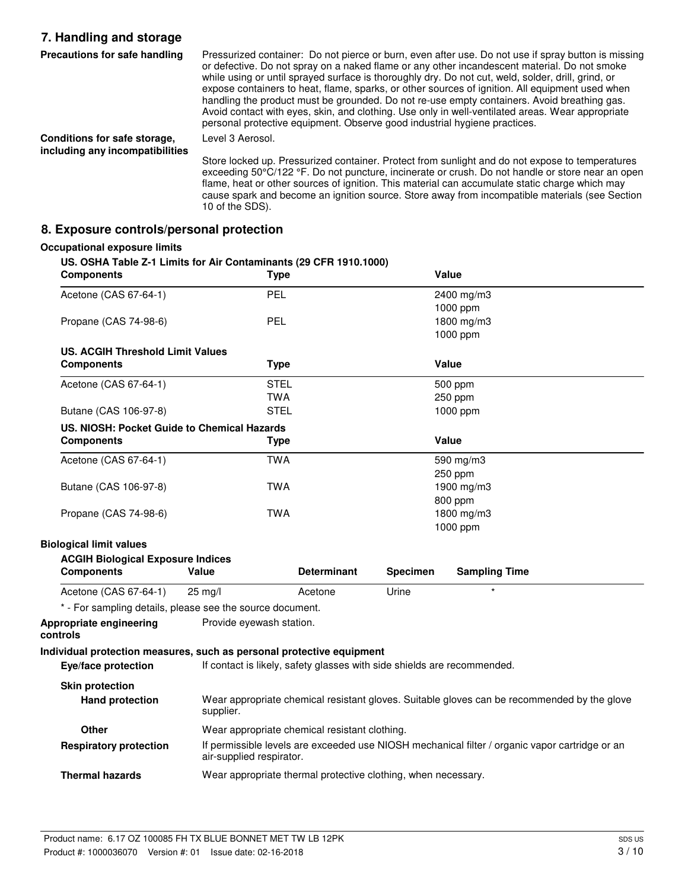## **7. Handling and storage**

| Precautions for safe handling                                   | Pressurized container: Do not pierce or burn, even after use. Do not use if spray button is missing<br>or defective. Do not spray on a naked flame or any other incandescent material. Do not smoke<br>while using or until sprayed surface is thoroughly dry. Do not cut, weld, solder, drill, grind, or<br>expose containers to heat, flame, sparks, or other sources of ignition. All equipment used when<br>handling the product must be grounded. Do not re-use empty containers. Avoid breathing gas.<br>Avoid contact with eyes, skin, and clothing. Use only in well-ventilated areas. Wear appropriate<br>personal protective equipment. Observe good industrial hygiene practices. |
|-----------------------------------------------------------------|----------------------------------------------------------------------------------------------------------------------------------------------------------------------------------------------------------------------------------------------------------------------------------------------------------------------------------------------------------------------------------------------------------------------------------------------------------------------------------------------------------------------------------------------------------------------------------------------------------------------------------------------------------------------------------------------|
| Conditions for safe storage,<br>including any incompatibilities | Level 3 Aerosol.                                                                                                                                                                                                                                                                                                                                                                                                                                                                                                                                                                                                                                                                             |
|                                                                 | Store locked up. Pressurized container. Protect from sunlight and do not expose to temperatures<br>exceeding 50°C/122 °F. Do not puncture, incinerate or crush. Do not handle or store near an open<br>flame, heat or other sources of ignition. This material can accumulate static charge which may                                                                                                                                                                                                                                                                                                                                                                                        |

cause spark and become an ignition source. Store away from incompatible materials (see Section

#### **8. Exposure controls/personal protection**

## 10 of the SDS). **Occupational exposure limits US. OSHA Table Z-1 Limits for Air Contaminants (29 CFR 1910.1000) Components Type Value** Acetone (CAS 67-64-1) PEL PEL 2400 mg/m3 1000 ppm Propane (CAS 74-98-6) PEL PEL 1800 mg/m3 1000 ppm **US. ACGIH Threshold Limit Values Components Type Value** Acetone (CAS 67-64-1) STEL 500 ppm TWA 250 ppm Butane (CAS 106-97-8) STEL 3000 ppm **US. NIOSH: Pocket Guide to Chemical Hazards Components Type Value** Acetone (CAS 67-64-1) TWA TWA 590 mg/m3 250 ppm Butane (CAS 106-97-8) **TWA** 1900 mg/m3 800 ppm Propane (CAS 74-98-6) TWA 1800 mg/m3 1000 ppm **Biological limit values ACGIH Biological Exposure Indices Components Value Determinant Specimen Sampling Time** Acetone (CAS 67-64-1) 25 mg/l Acetone Matchesone Urine \* - For sampling details, please see the source document. **Appropriate engineering** Provide eyewash station. **controls Individual protection measures, such as personal protective equipment Eye/face protection** If contact is likely, safety glasses with side shields are recommended. **Skin protection** Wear appropriate chemical resistant gloves. Suitable gloves can be recommended by the glove supplier. **Hand protection**

**Other** Wear appropriate chemical resistant clothing. If permissible levels are exceeded use NIOSH mechanical filter / organic vapor cartridge or an air-supplied respirator. **Respiratory protection**

**Thermal hazards** Wear appropriate thermal protective clothing, when necessary.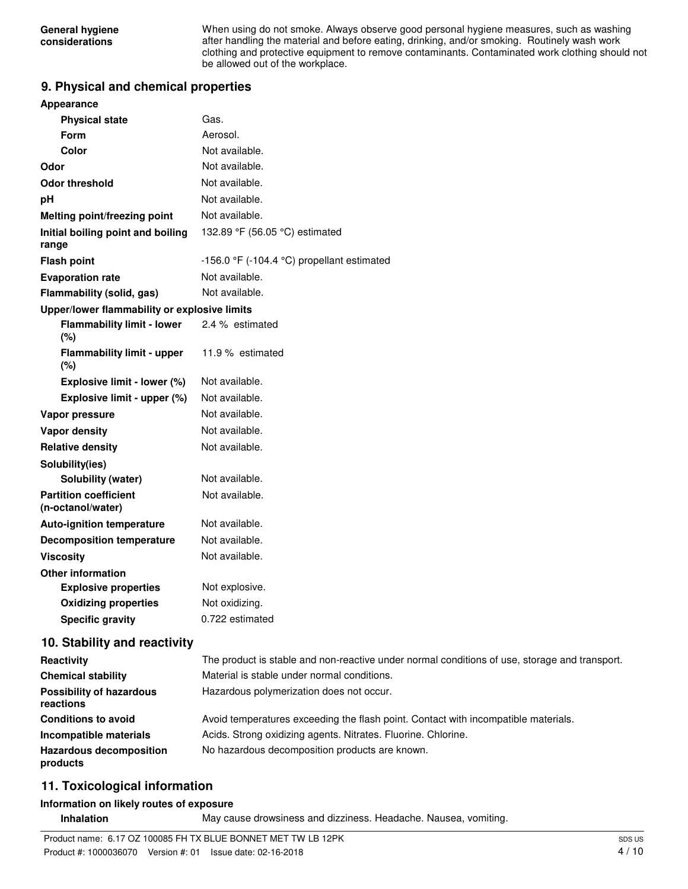When using do not smoke. Always observe good personal hygiene measures, such as washing after handling the material and before eating, drinking, and/or smoking. Routinely wash work clothing and protective equipment to remove contaminants. Contaminated work clothing should not be allowed out of the workplace.

#### **9. Physical and chemical properties**

| Appearance                                        |                                                                                               |  |  |
|---------------------------------------------------|-----------------------------------------------------------------------------------------------|--|--|
| <b>Physical state</b>                             | Gas.                                                                                          |  |  |
| <b>Form</b>                                       | Aerosol.                                                                                      |  |  |
| Color                                             | Not available.                                                                                |  |  |
| Odor                                              | Not available.                                                                                |  |  |
| <b>Odor threshold</b>                             | Not available.                                                                                |  |  |
| pH                                                | Not available.                                                                                |  |  |
| Melting point/freezing point                      | Not available.                                                                                |  |  |
| Initial boiling point and boiling<br>range        | 132.89 °F (56.05 °C) estimated                                                                |  |  |
| <b>Flash point</b>                                | -156.0 $\degree$ F (-104.4 $\degree$ C) propellant estimated                                  |  |  |
| <b>Evaporation rate</b>                           | Not available.                                                                                |  |  |
| Flammability (solid, gas)                         | Not available.                                                                                |  |  |
| Upper/lower flammability or explosive limits      |                                                                                               |  |  |
| <b>Flammability limit - lower</b><br>(%)          | 2.4 % estimated                                                                               |  |  |
| <b>Flammability limit - upper</b><br>(%)          | 11.9 % estimated                                                                              |  |  |
| Explosive limit - lower (%)                       | Not available.                                                                                |  |  |
| Explosive limit - upper (%)                       | Not available.                                                                                |  |  |
| Vapor pressure                                    | Not available.                                                                                |  |  |
| <b>Vapor density</b>                              | Not available.                                                                                |  |  |
| <b>Relative density</b>                           | Not available.                                                                                |  |  |
| Solubility(ies)                                   |                                                                                               |  |  |
| Solubility (water)                                | Not available.                                                                                |  |  |
| <b>Partition coefficient</b><br>(n-octanol/water) | Not available.                                                                                |  |  |
| <b>Auto-ignition temperature</b>                  | Not available.                                                                                |  |  |
| <b>Decomposition temperature</b>                  | Not available.                                                                                |  |  |
| <b>Viscosity</b>                                  | Not available.                                                                                |  |  |
| <b>Other information</b>                          |                                                                                               |  |  |
| <b>Explosive properties</b>                       | Not explosive.                                                                                |  |  |
| <b>Oxidizing properties</b>                       | Not oxidizing.                                                                                |  |  |
| <b>Specific gravity</b>                           | 0.722 estimated                                                                               |  |  |
| 10. Stability and reactivity                      |                                                                                               |  |  |
| Reactivity                                        | The product is stable and non-reactive under normal conditions of use, storage and transport. |  |  |
| <b>Chemical stability</b>                         | Material is stable under normal conditions.                                                   |  |  |
| <b>Possibility of hazardous</b><br>reactions      | Hazardous polymerization does not occur.                                                      |  |  |
| <b>Conditions to avoid</b>                        | Avoid temperatures exceeding the flash point. Contact with incompatible materials.            |  |  |
| Incompatible materials                            | Acids. Strong oxidizing agents. Nitrates. Fluorine. Chlorine.                                 |  |  |

### **11. Toxicological information**

**products**

#### **Information on likely routes of exposure**

**Inhalation** May cause drowsiness and dizziness. Headache. Nausea, vomiting.

Hazardous decomposition No hazardous decomposition products are known.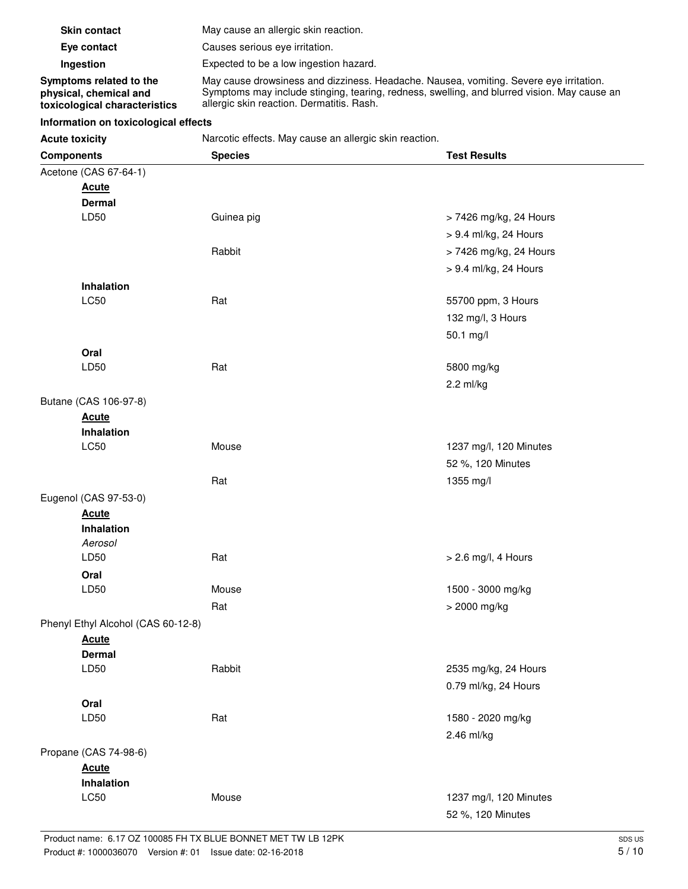| <b>Skin contact</b>                                                                | May cause an allergic skin reaction.                                                                                                                                                                                               |
|------------------------------------------------------------------------------------|------------------------------------------------------------------------------------------------------------------------------------------------------------------------------------------------------------------------------------|
| Eye contact                                                                        | Causes serious eye irritation.                                                                                                                                                                                                     |
| Ingestion                                                                          | Expected to be a low ingestion hazard.                                                                                                                                                                                             |
| Symptoms related to the<br>physical, chemical and<br>toxicological characteristics | May cause drowsiness and dizziness. Headache. Nausea, vomiting. Severe eye irritation.<br>Symptoms may include stinging, tearing, redness, swelling, and blurred vision. May cause an<br>allergic skin reaction. Dermatitis. Rash. |

#### **Information on toxicological effects**

**Acute toxicity** Narcotic effects. May cause an allergic skin reaction.

| <b>Components</b>                  | <b>Species</b> | <b>Test Results</b>    |
|------------------------------------|----------------|------------------------|
| Acetone (CAS 67-64-1)              |                |                        |
| <b>Acute</b>                       |                |                        |
| <b>Dermal</b>                      |                |                        |
| LD50                               | Guinea pig     | > 7426 mg/kg, 24 Hours |
|                                    |                | > 9.4 ml/kg, 24 Hours  |
|                                    | Rabbit         | > 7426 mg/kg, 24 Hours |
|                                    |                | > 9.4 ml/kg, 24 Hours  |
| <b>Inhalation</b>                  |                |                        |
| LC50                               | Rat            | 55700 ppm, 3 Hours     |
|                                    |                | 132 mg/l, 3 Hours      |
|                                    |                | 50.1 mg/l              |
| Oral                               |                |                        |
| LD50                               | Rat            | 5800 mg/kg             |
|                                    |                | 2.2 ml/kg              |
| Butane (CAS 106-97-8)              |                |                        |
| <b>Acute</b>                       |                |                        |
| <b>Inhalation</b>                  |                |                        |
| LC50                               | Mouse          | 1237 mg/l, 120 Minutes |
|                                    |                | 52 %, 120 Minutes      |
|                                    | Rat            | 1355 mg/l              |
| Eugenol (CAS 97-53-0)              |                |                        |
| <b>Acute</b>                       |                |                        |
| <b>Inhalation</b>                  |                |                        |
| Aerosol                            |                |                        |
| LD50                               | Rat            | > 2.6 mg/l, 4 Hours    |
| Oral                               |                |                        |
| LD50                               | Mouse          | 1500 - 3000 mg/kg      |
|                                    | Rat            | > 2000 mg/kg           |
| Phenyl Ethyl Alcohol (CAS 60-12-8) |                |                        |
| <b>Acute</b>                       |                |                        |
| <b>Dermal</b>                      |                |                        |
| LD50                               | Rabbit         | 2535 mg/kg, 24 Hours   |
|                                    |                | 0.79 ml/kg, 24 Hours   |
| Oral                               |                |                        |
| LD50                               | Rat            | 1580 - 2020 mg/kg      |
|                                    |                | 2.46 ml/kg             |
| Propane (CAS 74-98-6)              |                |                        |
| <b>Acute</b>                       |                |                        |
| Inhalation                         |                |                        |
| LC50                               | Mouse          | 1237 mg/l, 120 Minutes |
|                                    |                | 52 %, 120 Minutes      |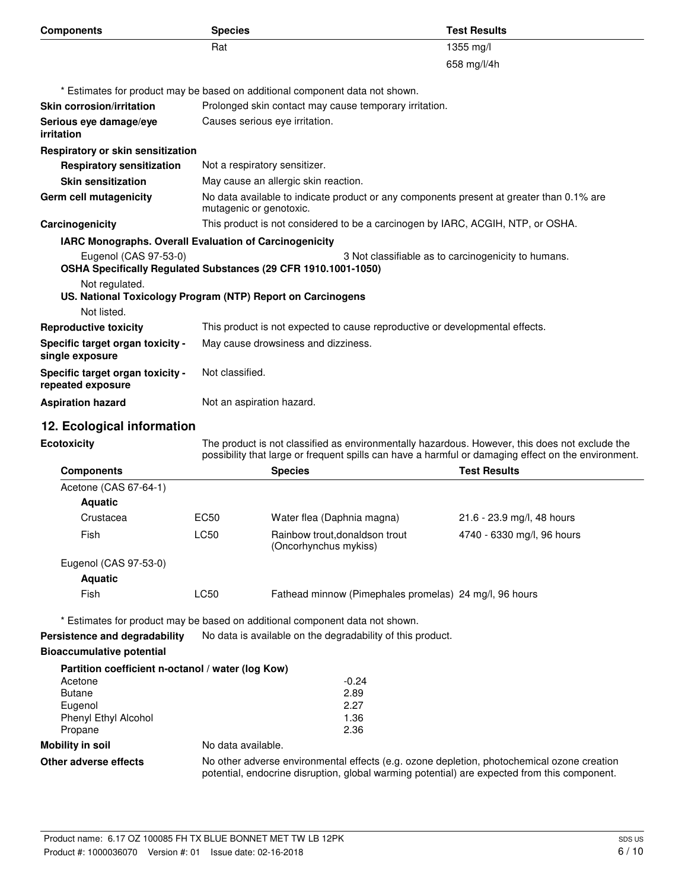| <b>Components</b>                                                                            | <b>Species</b>                                                                                                                                                                                        |                                                                                 | <b>Test Results</b>                                                                      |  |
|----------------------------------------------------------------------------------------------|-------------------------------------------------------------------------------------------------------------------------------------------------------------------------------------------------------|---------------------------------------------------------------------------------|------------------------------------------------------------------------------------------|--|
|                                                                                              | Rat                                                                                                                                                                                                   |                                                                                 | 1355 mg/l                                                                                |  |
|                                                                                              |                                                                                                                                                                                                       |                                                                                 | 658 mg/l/4h                                                                              |  |
|                                                                                              |                                                                                                                                                                                                       | * Estimates for product may be based on additional component data not shown.    |                                                                                          |  |
| <b>Skin corrosion/irritation</b>                                                             |                                                                                                                                                                                                       | Prolonged skin contact may cause temporary irritation.                          |                                                                                          |  |
| Serious eye damage/eye<br>irritation                                                         | Causes serious eye irritation.                                                                                                                                                                        |                                                                                 |                                                                                          |  |
| Respiratory or skin sensitization                                                            |                                                                                                                                                                                                       |                                                                                 |                                                                                          |  |
| <b>Respiratory sensitization</b>                                                             |                                                                                                                                                                                                       | Not a respiratory sensitizer.                                                   |                                                                                          |  |
| <b>Skin sensitization</b>                                                                    |                                                                                                                                                                                                       | May cause an allergic skin reaction.                                            |                                                                                          |  |
| <b>Germ cell mutagenicity</b>                                                                |                                                                                                                                                                                                       | mutagenic or genotoxic.                                                         | No data available to indicate product or any components present at greater than 0.1% are |  |
| Carcinogenicity                                                                              |                                                                                                                                                                                                       | This product is not considered to be a carcinogen by IARC, ACGIH, NTP, or OSHA. |                                                                                          |  |
| IARC Monographs. Overall Evaluation of Carcinogenicity                                       |                                                                                                                                                                                                       |                                                                                 |                                                                                          |  |
| Eugenol (CAS 97-53-0)<br>OSHA Specifically Regulated Substances (29 CFR 1910.1001-1050)      |                                                                                                                                                                                                       |                                                                                 | 3 Not classifiable as to carcinogenicity to humans.                                      |  |
| Not regulated.<br>US. National Toxicology Program (NTP) Report on Carcinogens<br>Not listed. |                                                                                                                                                                                                       |                                                                                 |                                                                                          |  |
| <b>Reproductive toxicity</b>                                                                 | This product is not expected to cause reproductive or developmental effects.                                                                                                                          |                                                                                 |                                                                                          |  |
| Specific target organ toxicity -<br>single exposure                                          | May cause drowsiness and dizziness.                                                                                                                                                                   |                                                                                 |                                                                                          |  |
| Specific target organ toxicity -<br>repeated exposure                                        | Not classified.                                                                                                                                                                                       |                                                                                 |                                                                                          |  |
| <b>Aspiration hazard</b>                                                                     | Not an aspiration hazard.                                                                                                                                                                             |                                                                                 |                                                                                          |  |
| 12. Ecological information                                                                   |                                                                                                                                                                                                       |                                                                                 |                                                                                          |  |
| <b>Ecotoxicity</b>                                                                           | The product is not classified as environmentally hazardous. However, this does not exclude the<br>possibility that large or frequent spills can have a harmful or damaging effect on the environment. |                                                                                 |                                                                                          |  |
| <b>Components</b>                                                                            |                                                                                                                                                                                                       | <b>Species</b>                                                                  | <b>Test Results</b>                                                                      |  |
| Acetone (CAS 67-64-1)                                                                        |                                                                                                                                                                                                       |                                                                                 |                                                                                          |  |
| <b>Aquatic</b>                                                                               |                                                                                                                                                                                                       |                                                                                 |                                                                                          |  |
| Crustacea                                                                                    | EC <sub>50</sub>                                                                                                                                                                                      | Water flea (Daphnia magna)                                                      | 21.6 - 23.9 mg/l, 48 hours                                                               |  |
| Fish                                                                                         | <b>LC50</b>                                                                                                                                                                                           | Rainbow trout, donaldson trout<br>(Oncorhynchus mykiss)                         | 4740 - 6330 mg/l, 96 hours                                                               |  |
| Eugenol (CAS 97-53-0)                                                                        |                                                                                                                                                                                                       |                                                                                 |                                                                                          |  |

**Aquatic**

Fish EC50 Eathead minnow (Pimephales promelas) 24 mg/l, 96 hours

\* Estimates for product may be based on additional component data not shown.

**Persistence and degradability** No data is available on the degradability of this product.

#### **Bioaccumulative potential**

|                             | Partition coefficient n-octanol / water (log Kow)                                                                                                                                          |
|-----------------------------|--------------------------------------------------------------------------------------------------------------------------------------------------------------------------------------------|
| Acetone                     | $-0.24$                                                                                                                                                                                    |
| <b>Butane</b>               | 2.89                                                                                                                                                                                       |
| Eugenol                     | 2.27                                                                                                                                                                                       |
| <b>Phenyl Ethyl Alcohol</b> | 1.36                                                                                                                                                                                       |
| Propane                     | 2.36                                                                                                                                                                                       |
| Mobility in soil            | No data available.                                                                                                                                                                         |
| Other adverse effects       | No other adverse environmental effects (e.g. ozone depletion, photochemical ozone creation<br>potential, endocrine disruption, global warming potential) are expected from this component. |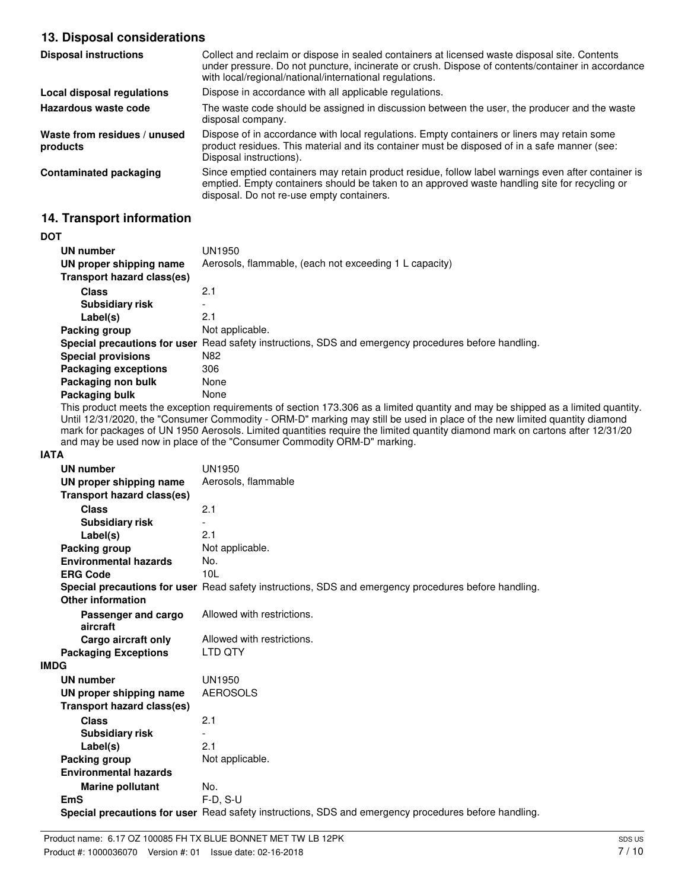## **13. Disposal considerations**

| <b>Disposal instructions</b>             | Collect and reclaim or dispose in sealed containers at licensed waste disposal site. Contents<br>under pressure. Do not puncture, incinerate or crush. Dispose of contents/container in accordance<br>with local/regional/national/international regulations. |
|------------------------------------------|---------------------------------------------------------------------------------------------------------------------------------------------------------------------------------------------------------------------------------------------------------------|
| Local disposal regulations               | Dispose in accordance with all applicable regulations.                                                                                                                                                                                                        |
| Hazardous waste code                     | The waste code should be assigned in discussion between the user, the producer and the waste<br>disposal company.                                                                                                                                             |
| Waste from residues / unused<br>products | Dispose of in accordance with local regulations. Empty containers or liners may retain some<br>product residues. This material and its container must be disposed of in a safe manner (see:<br>Disposal instructions).                                        |
| Contaminated packaging                   | Since emptied containers may retain product residue, follow label warnings even after container is<br>emptied. Empty containers should be taken to an approved waste handling site for recycling or<br>disposal. Do not re-use empty containers.              |

## **14. Transport information**

#### **DOT**

| UN number                   | UN1950                                                                                               |
|-----------------------------|------------------------------------------------------------------------------------------------------|
| UN proper shipping name     | Aerosols, flammable, (each not exceeding 1 L capacity)                                               |
| Transport hazard class(es)  |                                                                                                      |
| <b>Class</b>                | 2.1                                                                                                  |
| <b>Subsidiary risk</b>      | $\overline{\phantom{a}}$                                                                             |
| Label(s)                    | 2.1                                                                                                  |
| Packing group               | Not applicable.                                                                                      |
|                             | Special precautions for user Read safety instructions, SDS and emergency procedures before handling. |
| <b>Special provisions</b>   | N82                                                                                                  |
| <b>Packaging exceptions</b> | 306                                                                                                  |
| Packaging non bulk          | None                                                                                                 |
| Packaging bulk              | None                                                                                                 |

This product meets the exception requirements of section 173.306 as a limited quantity and may be shipped as a limited quantity. Until 12/31/2020, the "Consumer Commodity - ORM-D" marking may still be used in place of the new limited quantity diamond mark for packages of UN 1950 Aerosols. Limited quantities require the limited quantity diamond mark on cartons after 12/31/20 and may be used now in place of the "Consumer Commodity ORM-D" marking.

#### **IATA**

| <b>UN number</b>                  | <b>UN1950</b>                                                                                        |
|-----------------------------------|------------------------------------------------------------------------------------------------------|
| UN proper shipping name           | Aerosols, flammable                                                                                  |
| <b>Transport hazard class(es)</b> |                                                                                                      |
| <b>Class</b>                      | 2.1                                                                                                  |
| <b>Subsidiary risk</b>            |                                                                                                      |
| Label(s)                          | 2.1                                                                                                  |
| Packing group                     | Not applicable.                                                                                      |
| <b>Environmental hazards</b>      | No.                                                                                                  |
| <b>ERG Code</b>                   | 10L                                                                                                  |
|                                   | Special precautions for user Read safety instructions, SDS and emergency procedures before handling. |
| Other information                 |                                                                                                      |
| Passenger and cargo               | Allowed with restrictions.                                                                           |
| aircraft                          |                                                                                                      |
| Cargo aircraft only               | Allowed with restrictions.                                                                           |
| <b>Packaging Exceptions</b>       | LTD QTY                                                                                              |
| <b>IMDG</b>                       |                                                                                                      |
| <b>UN number</b>                  | UN1950                                                                                               |
| UN proper shipping name           | <b>AEROSOLS</b>                                                                                      |
| Transport hazard class(es)        |                                                                                                      |
| <b>Class</b>                      | 2.1                                                                                                  |
| <b>Subsidiary risk</b>            |                                                                                                      |
| Label(s)                          | 2.1                                                                                                  |
| Packing group                     | Not applicable.                                                                                      |
| <b>Environmental hazards</b>      |                                                                                                      |
| <b>Marine pollutant</b>           | No.                                                                                                  |
| <b>EmS</b>                        | $F-D. S-U$                                                                                           |
|                                   | Special precautions for user Read safety instructions, SDS and emergency procedures before handling. |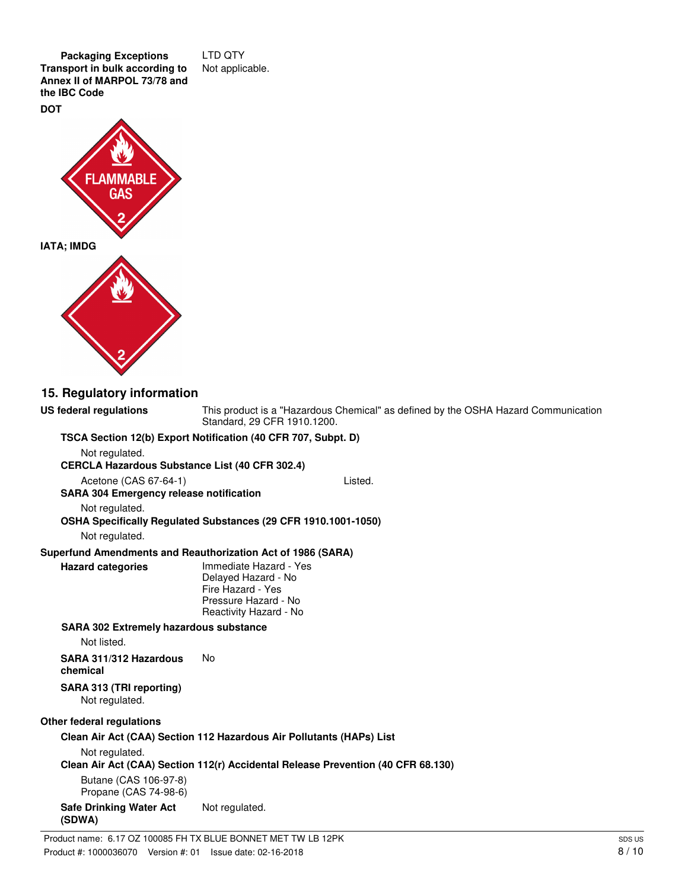**Packaging Exceptions** LTD QTY **Transport in bulk according to** Not applicable. **Annex II of MARPOL 73/78 and the IBC Code DOT**



**15. Regulatory information** This product is a "Hazardous Chemical" as defined by the OSHA Hazard Communication Standard, 29 CFR 1910.1200. **US federal regulations TSCA Section 12(b) Export Notification (40 CFR 707, Subpt. D)** Not regulated. **CERCLA Hazardous Substance List (40 CFR 302.4)** Acetone (CAS 67-64-1) Listed. **SARA 304 Emergency release notification** Not regulated. **OSHA Specifically Regulated Substances (29 CFR 1910.1001-1050)** Not regulated. **Superfund Amendments and Reauthorization Act of 1986 (SARA)** Immediate Hazard - Yes Delayed Hazard - No Fire Hazard - Yes Pressure Hazard - No Reactivity Hazard - No **Hazard categories SARA 302 Extremely hazardous substance** Not listed. **SARA 311/312 Hazardous** No **chemical SARA 313 (TRI reporting)** Not regulated. **Other federal regulations Clean Air Act (CAA) Section 112 Hazardous Air Pollutants (HAPs) List** Not regulated. **Clean Air Act (CAA) Section 112(r) Accidental Release Prevention (40 CFR 68.130)** Butane (CAS 106-97-8) Propane (CAS 74-98-6) **Safe Drinking Water Act** Not regulated. **(SDWA)**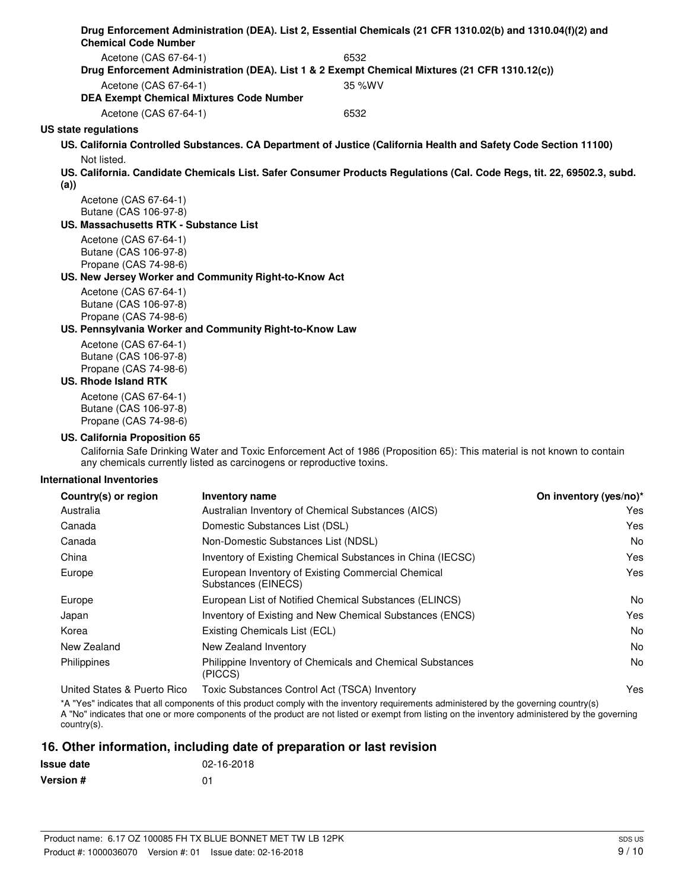| <b>Chemical Code Number</b>                    |                                                                       | Drug Enforcement Administration (DEA). List 2, Essential Chemicals (21 CFR 1310.02(b) and 1310.04(f)(2) and              |                        |
|------------------------------------------------|-----------------------------------------------------------------------|--------------------------------------------------------------------------------------------------------------------------|------------------------|
|                                                |                                                                       |                                                                                                                          |                        |
| Acetone (CAS 67-64-1)                          |                                                                       | 6532<br>Drug Enforcement Administration (DEA). List 1 & 2 Exempt Chemical Mixtures (21 CFR 1310.12(c))                   |                        |
| Acetone (CAS 67-64-1)                          |                                                                       | 35 %WV                                                                                                                   |                        |
|                                                | <b>DEA Exempt Chemical Mixtures Code Number</b>                       |                                                                                                                          |                        |
| Acetone (CAS 67-64-1)                          |                                                                       | 6532                                                                                                                     |                        |
| US state regulations                           |                                                                       |                                                                                                                          |                        |
|                                                |                                                                       | US. California Controlled Substances. CA Department of Justice (California Health and Safety Code Section 11100)         |                        |
| Not listed.                                    |                                                                       |                                                                                                                          |                        |
| (a))                                           |                                                                       | US. California. Candidate Chemicals List. Safer Consumer Products Regulations (Cal. Code Regs, tit. 22, 69502.3, subd.   |                        |
| Acetone (CAS 67-64-1)                          |                                                                       |                                                                                                                          |                        |
| Butane (CAS 106-97-8)                          |                                                                       |                                                                                                                          |                        |
| US. Massachusetts RTK - Substance List         |                                                                       |                                                                                                                          |                        |
| Acetone (CAS 67-64-1)<br>Butane (CAS 106-97-8) |                                                                       |                                                                                                                          |                        |
| Propane (CAS 74-98-6)                          |                                                                       |                                                                                                                          |                        |
|                                                | US. New Jersey Worker and Community Right-to-Know Act                 |                                                                                                                          |                        |
| Acetone (CAS 67-64-1)                          |                                                                       |                                                                                                                          |                        |
| Butane (CAS 106-97-8)                          |                                                                       |                                                                                                                          |                        |
| Propane (CAS 74-98-6)                          |                                                                       |                                                                                                                          |                        |
|                                                | US. Pennsylvania Worker and Community Right-to-Know Law               |                                                                                                                          |                        |
| Acetone (CAS 67-64-1)<br>Butane (CAS 106-97-8) |                                                                       |                                                                                                                          |                        |
| Propane (CAS 74-98-6)                          |                                                                       |                                                                                                                          |                        |
| <b>US. Rhode Island RTK</b>                    |                                                                       |                                                                                                                          |                        |
| Acetone (CAS 67-64-1)                          |                                                                       |                                                                                                                          |                        |
| Butane (CAS 106-97-8)                          |                                                                       |                                                                                                                          |                        |
| Propane (CAS 74-98-6)                          |                                                                       |                                                                                                                          |                        |
| US. California Proposition 65                  | any chemicals currently listed as carcinogens or reproductive toxins. | California Safe Drinking Water and Toxic Enforcement Act of 1986 (Proposition 65): This material is not known to contain |                        |
| <b>International Inventories</b>               |                                                                       |                                                                                                                          |                        |
| Country(s) or region                           | Inventory name                                                        |                                                                                                                          | On inventory (yes/no)* |
| Australia                                      |                                                                       | Australian Inventory of Chemical Substances (AICS)                                                                       | Yes                    |
| Canada                                         | Domestic Substances List (DSL)                                        |                                                                                                                          | Yes                    |
| Canada                                         | Non-Domestic Substances List (NDSL)                                   |                                                                                                                          | No                     |
| China                                          |                                                                       | Inventory of Existing Chemical Substances in China (IECSC)                                                               | Yes                    |
| Europe                                         | Substances (EINECS)                                                   | European Inventory of Existing Commercial Chemical                                                                       | Yes                    |
| Europe                                         |                                                                       | European List of Notified Chemical Substances (ELINCS)                                                                   | No                     |
| Japan                                          |                                                                       | Inventory of Existing and New Chemical Substances (ENCS)                                                                 | Yes                    |
| Korea                                          | Existing Chemicals List (ECL)                                         |                                                                                                                          | No                     |
| New Zealand                                    | New Zealand Inventory                                                 |                                                                                                                          | No                     |
| Philippines                                    | (PICCS)                                                               | Philippine Inventory of Chemicals and Chemical Substances                                                                | No                     |

United States & Puerto Rico Toxic Substances Control Act (TSCA) Inventory Yes

\*A "Yes" indicates that all components of this product comply with the inventory requirements administered by the governing country(s) A "No" indicates that one or more components of the product are not listed or exempt from listing on the inventory administered by the governing country(s).

#### **16. Other information, including date of preparation or last revision**

| <b>Issue date</b> | 02-16-2018 |
|-------------------|------------|
| <b>Version #</b>  | 01         |